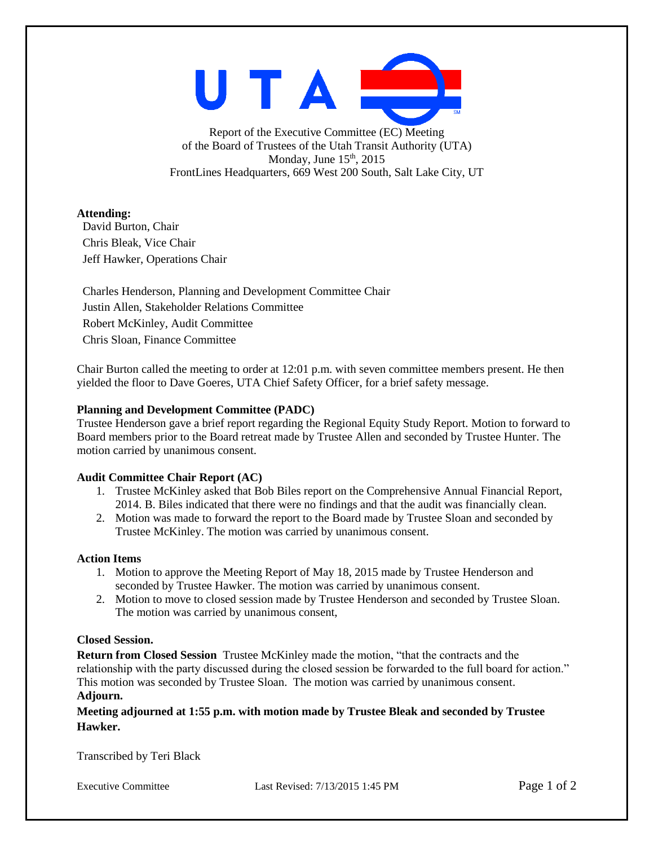

Report of the Executive Committee (EC) Meeting of the Board of Trustees of the Utah Transit Authority (UTA) Monday, June  $15<sup>th</sup>$ , 2015 FrontLines Headquarters, 669 West 200 South, Salt Lake City, UT

# **Attending:**

David Burton, Chair Chris Bleak, Vice Chair Jeff Hawker, Operations Chair

Charles Henderson, Planning and Development Committee Chair Justin Allen, Stakeholder Relations Committee Robert McKinley, Audit Committee Chris Sloan, Finance Committee

Chair Burton called the meeting to order at 12:01 p.m. with seven committee members present. He then yielded the floor to Dave Goeres, UTA Chief Safety Officer, for a brief safety message.

# **Planning and Development Committee (PADC)**

Trustee Henderson gave a brief report regarding the Regional Equity Study Report. Motion to forward to Board members prior to the Board retreat made by Trustee Allen and seconded by Trustee Hunter. The motion carried by unanimous consent.

# **Audit Committee Chair Report (AC)**

- 1. Trustee McKinley asked that Bob Biles report on the Comprehensive Annual Financial Report, 2014. B. Biles indicated that there were no findings and that the audit was financially clean.
- 2. Motion was made to forward the report to the Board made by Trustee Sloan and seconded by Trustee McKinley. The motion was carried by unanimous consent.

## **Action Items**

- 1. Motion to approve the Meeting Report of May 18, 2015 made by Trustee Henderson and seconded by Trustee Hawker. The motion was carried by unanimous consent.
- 2. Motion to move to closed session made by Trustee Henderson and seconded by Trustee Sloan. The motion was carried by unanimous consent,

## **Closed Session.**

**Return from Closed Session** Trustee McKinley made the motion, "that the contracts and the relationship with the party discussed during the closed session be forwarded to the full board for action." This motion was seconded by Trustee Sloan. The motion was carried by unanimous consent. **Adjourn.**

**Meeting adjourned at 1:55 p.m. with motion made by Trustee Bleak and seconded by Trustee Hawker.**

Transcribed by Teri Black